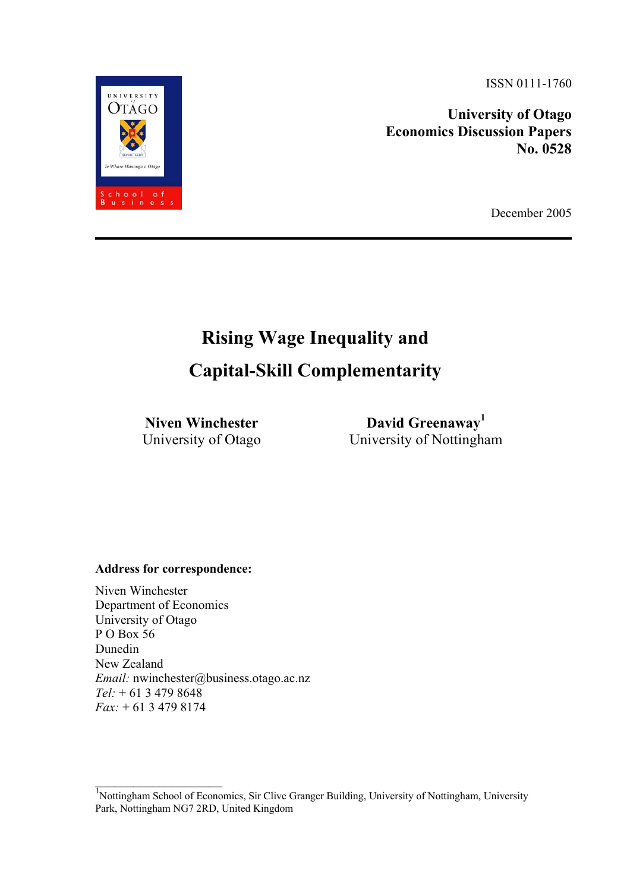ISSN 0111-1760

**University of Otago Economics Discussion Papers No. 0528** 

December 2005

# **Rising Wage Inequality and**

# **Capital-Skill Complementarity**

**Niven Winchester**  University of Otago

**David Greenaway1** University of Nottingham

### **Address for correspondence:**

 $\mathcal{L}_\text{max}$  , where  $\mathcal{L}_\text{max}$  and  $\mathcal{L}_\text{max}$ 

Niven Winchester Department of Economics University of Otago P O Box 56 Dunedin New Zealand *Email:* nwinchester@business.otago.ac.nz *Tel:* + 61 3 479 8648 *Fax:* + 61 3 479 8174

<sup>1</sup>Nottingham School of Economics, Sir Clive Granger Building, University of Nottingham, University Park, Nottingham NG7 2RD, United Kingdom

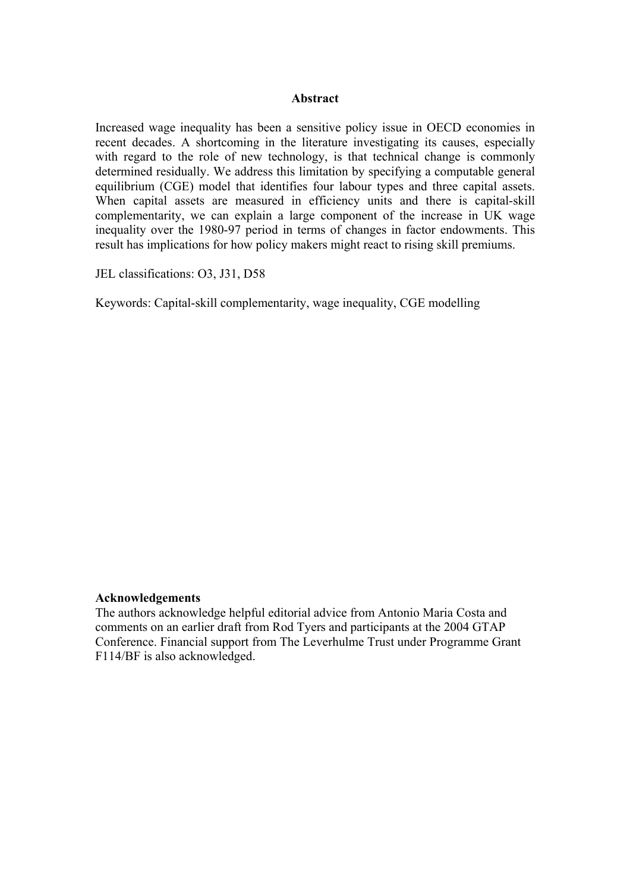#### **Abstract**

Increased wage inequality has been a sensitive policy issue in OECD economies in recent decades. A shortcoming in the literature investigating its causes, especially with regard to the role of new technology, is that technical change is commonly determined residually. We address this limitation by specifying a computable general equilibrium (CGE) model that identifies four labour types and three capital assets. When capital assets are measured in efficiency units and there is capital-skill complementarity, we can explain a large component of the increase in UK wage inequality over the 1980-97 period in terms of changes in factor endowments. This result has implications for how policy makers might react to rising skill premiums.

JEL classifications: O3, J31, D58

Keywords: Capital-skill complementarity, wage inequality, CGE modelling

#### **Acknowledgements**

The authors acknowledge helpful editorial advice from Antonio Maria Costa and comments on an earlier draft from Rod Tyers and participants at the 2004 GTAP Conference. Financial support from The Leverhulme Trust under Programme Grant F114/BF is also acknowledged.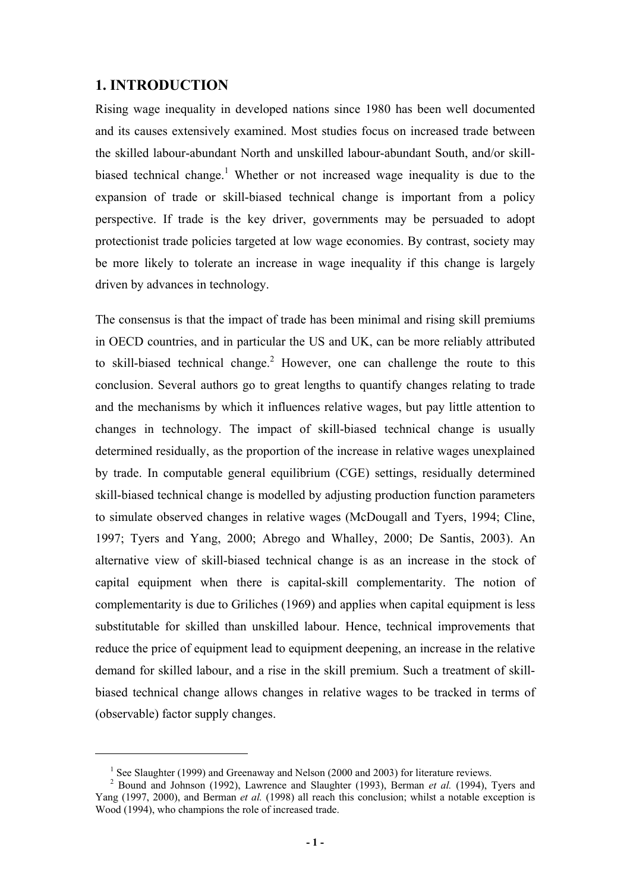# **1. INTRODUCTION**

 $\overline{a}$ 

Rising wage inequality in developed nations since 1980 has been well documented and its causes extensively examined. Most studies focus on increased trade between the skilled labour-abundant North and unskilled labour-abundant South, and/or skillbiased technical change.<sup>1</sup> Whether or not increased wage inequality is due to the expansion of trade or skill-biased technical change is important from a policy perspective. If trade is the key driver, governments may be persuaded to adopt protectionist trade policies targeted at low wage economies. By contrast, society may be more likely to tolerate an increase in wage inequality if this change is largely driven by advances in technology.

The consensus is that the impact of trade has been minimal and rising skill premiums in OECD countries, and in particular the US and UK, can be more reliably attributed to skill-biased technical change.<sup>2</sup> However, one can challenge the route to this conclusion. Several authors go to great lengths to quantify changes relating to trade and the mechanisms by which it influences relative wages, but pay little attention to changes in technology. The impact of skill-biased technical change is usually determined residually, as the proportion of the increase in relative wages unexplained by trade. In computable general equilibrium (CGE) settings, residually determined skill-biased technical change is modelled by adjusting production function parameters to simulate observed changes in relative wages (McDougall and Tyers, 1994; Cline, 1997; Tyers and Yang, 2000; Abrego and Whalley, 2000; De Santis, 2003). An alternative view of skill-biased technical change is as an increase in the stock of capital equipment when there is capital-skill complementarity. The notion of complementarity is due to Griliches (1969) and applies when capital equipment is less substitutable for skilled than unskilled labour. Hence, technical improvements that reduce the price of equipment lead to equipment deepening, an increase in the relative demand for skilled labour, and a rise in the skill premium. Such a treatment of skillbiased technical change allows changes in relative wages to be tracked in terms of (observable) factor supply changes.

<sup>&</sup>lt;sup>1</sup> See Slaughter (1999) and Greenaway and Nelson (2000 and 2003) for literature reviews.<br><sup>2</sup> Bound and Johnson (1992), Laurange and Slaughter (1993), Berman *et al.* (1994), <sup>3</sup>

<sup>&</sup>lt;sup>2</sup> Bound and Johnson (1992), Lawrence and Slaughter (1993), Berman *et al.* (1994), Tyers and Yang (1997, 2000), and Berman *et al.* (1998) all reach this conclusion; whilst a notable exception is Wood (1994), who champions the role of increased trade.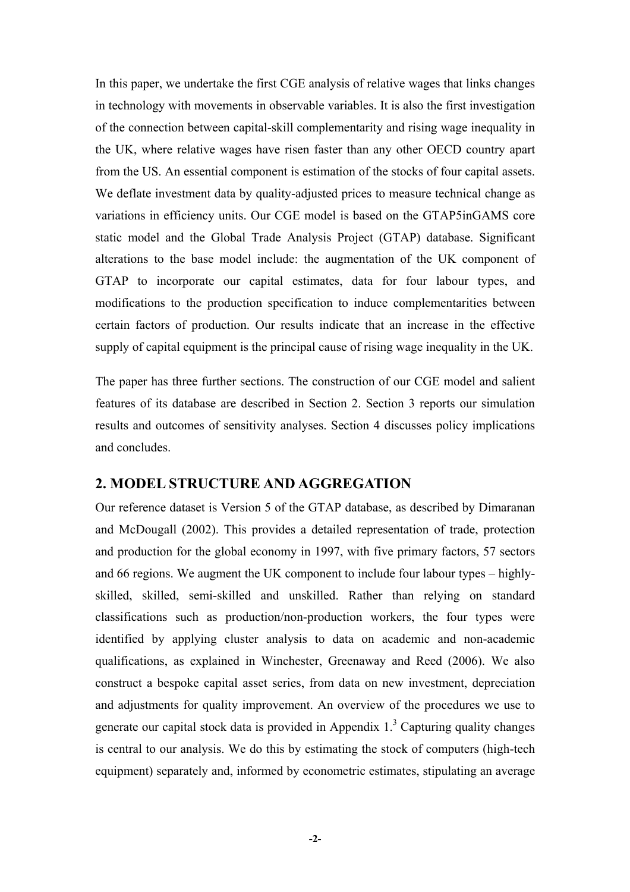In this paper, we undertake the first CGE analysis of relative wages that links changes in technology with movements in observable variables. It is also the first investigation of the connection between capital-skill complementarity and rising wage inequality in the UK, where relative wages have risen faster than any other OECD country apart from the US. An essential component is estimation of the stocks of four capital assets. We deflate investment data by quality-adjusted prices to measure technical change as variations in efficiency units. Our CGE model is based on the GTAP5inGAMS core static model and the Global Trade Analysis Project (GTAP) database. Significant alterations to the base model include: the augmentation of the UK component of GTAP to incorporate our capital estimates, data for four labour types, and modifications to the production specification to induce complementarities between certain factors of production. Our results indicate that an increase in the effective supply of capital equipment is the principal cause of rising wage inequality in the UK.

The paper has three further sections. The construction of our CGE model and salient features of its database are described in Section 2. Section 3 reports our simulation results and outcomes of sensitivity analyses. Section 4 discusses policy implications and concludes.

# **2. MODEL STRUCTURE AND AGGREGATION**

Our reference dataset is Version 5 of the GTAP database, as described by Dimaranan and McDougall (2002). This provides a detailed representation of trade, protection and production for the global economy in 1997, with five primary factors, 57 sectors and 66 regions. We augment the UK component to include four labour types – highlyskilled, skilled, semi-skilled and unskilled. Rather than relying on standard classifications such as production/non-production workers, the four types were identified by applying cluster analysis to data on academic and non-academic qualifications, as explained in Winchester, Greenaway and Reed (2006). We also construct a bespoke capital asset series, from data on new investment, depreciation and adjustments for quality improvement. An overview of the procedures we use to generate our capital stock data is provided in Appendix  $1<sup>3</sup>$  Capturing quality changes is central to our analysis. We do this by estimating the stock of computers (high-tech equipment) separately and, informed by econometric estimates, stipulating an average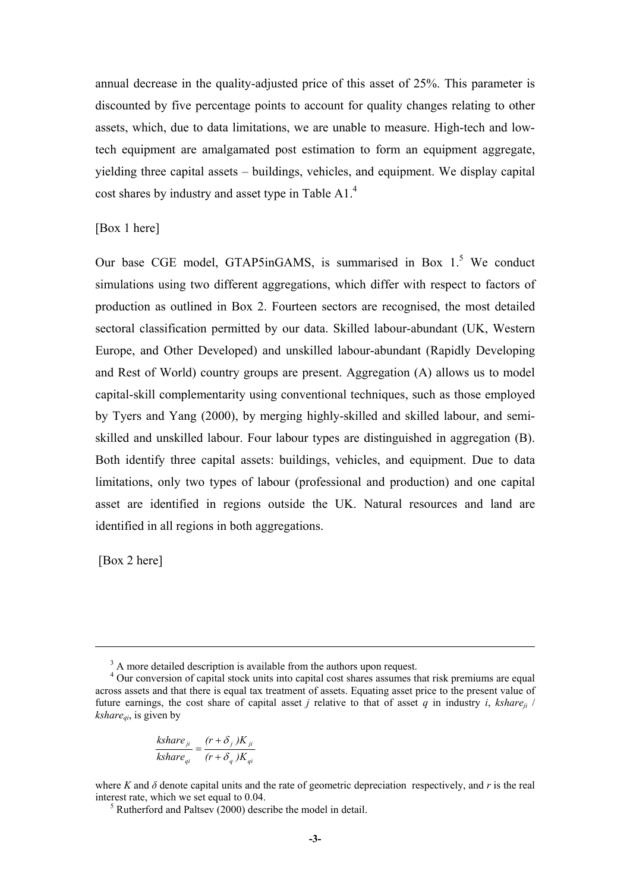annual decrease in the quality-adjusted price of this asset of 25%. This parameter is discounted by five percentage points to account for quality changes relating to other assets, which, due to data limitations, we are unable to measure. High-tech and lowtech equipment are amalgamated post estimation to form an equipment aggregate, yielding three capital assets – buildings, vehicles, and equipment. We display capital cost shares by industry and asset type in Table A1.<sup>4</sup>

### [Box 1 here]

Our base CGE model, GTAP5inGAMS, is summarised in Box  $1<sup>5</sup>$  We conduct simulations using two different aggregations, which differ with respect to factors of production as outlined in Box 2. Fourteen sectors are recognised, the most detailed sectoral classification permitted by our data. Skilled labour-abundant (UK, Western Europe, and Other Developed) and unskilled labour-abundant (Rapidly Developing and Rest of World) country groups are present. Aggregation (A) allows us to model capital-skill complementarity using conventional techniques, such as those employed by Tyers and Yang (2000), by merging highly-skilled and skilled labour, and semiskilled and unskilled labour. Four labour types are distinguished in aggregation (B). Both identify three capital assets: buildings, vehicles, and equipment. Due to data limitations, only two types of labour (professional and production) and one capital asset are identified in regions outside the UK. Natural resources and land are identified in all regions in both aggregations.

[Box 2 here]

 $\overline{a}$ 

$$
\frac{kshare_{ji}}{kshare_{qi}} = \frac{(r+\delta_j)K_{ji}}{(r+\delta_q)K_{qi}}
$$

 $3$  A more detailed description is available from the authors upon request.

<sup>&</sup>lt;sup>4</sup> Our conversion of capital stock units into capital cost shares assumes that risk premiums are equal across assets and that there is equal tax treatment of assets. Equating asset price to the present value of future earnings, the cost share of capital asset *j* relative to that of asset *q* in industry *i*, *kshare<sub>ii</sub>* /  $kshare_{ai}$ , is given by

where *K* and  $\delta$  denote capital units and the rate of geometric depreciation respectively, and *r* is the real interest rate, which we set equal to  $0.04$ .

 $\frac{5}{2}$  Rutherford and Paltsey (2000) describe the model in detail.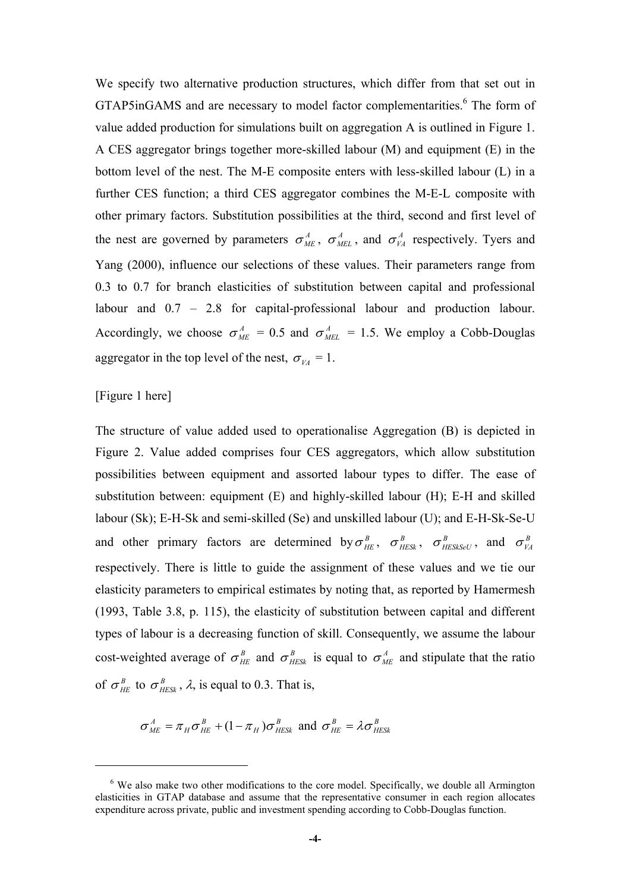We specify two alternative production structures, which differ from that set out in GTAP5inGAMS and are necessary to model factor complementarities.<sup>6</sup> The form of value added production for simulations built on aggregation A is outlined in Figure 1. A CES aggregator brings together more-skilled labour (M) and equipment (E) in the bottom level of the nest. The M-E composite enters with less-skilled labour (L) in a further CES function; a third CES aggregator combines the M-E-L composite with other primary factors. Substitution possibilities at the third, second and first level of the nest are governed by parameters  $\sigma_{ME}^A$ ,  $\sigma_{ME}^A$ , and  $\sigma_{VA}^A$  respectively. Tyers and Yang (2000), influence our selections of these values. Their parameters range from 0.3 to 0.7 for branch elasticities of substitution between capital and professional labour and 0.7 – 2.8 for capital-professional labour and production labour. Accordingly, we choose  $\sigma_{ME}^A = 0.5$  and  $\sigma_{ME}^A = 1.5$ . We employ a Cobb-Douglas aggregator in the top level of the nest,  $\sigma_{VA} = 1$ .

### [Figure 1 here]

 $\overline{a}$ 

The structure of value added used to operationalise Aggregation (B) is depicted in Figure 2. Value added comprises four CES aggregators, which allow substitution possibilities between equipment and assorted labour types to differ. The ease of substitution between: equipment (E) and highly-skilled labour (H); E-H and skilled labour (Sk); E-H-Sk and semi-skilled (Se) and unskilled labour (U); and E-H-Sk-Se-U and other primary factors are determined by  $\sigma_{HE}^B$ ,  $\sigma_{HESK}^B$ ,  $\sigma_{HESKSeU}^B$ , and  $\sigma_{VA}^B$ respectively. There is little to guide the assignment of these values and we tie our elasticity parameters to empirical estimates by noting that, as reported by Hamermesh (1993, Table 3.8, p. 115), the elasticity of substitution between capital and different types of labour is a decreasing function of skill. Consequently, we assume the labour cost-weighted average of  $\sigma_{HE}^{B}$  and  $\sigma_{HESK}^{B}$  is equal to  $\sigma_{ME}^{A}$  and stipulate that the ratio of  $\sigma_{HE}^{B}$  to  $\sigma_{HESK}^{B}$ ,  $\lambda$ , is equal to 0.3. That is,

$$
\sigma_{ME}^A = \pi_H \sigma_{HE}^B + (1 - \pi_H) \sigma_{HESK}^B
$$
 and  $\sigma_{HE}^B = \lambda \sigma_{HESK}^B$ 

<sup>&</sup>lt;sup>6</sup> We also make two other modifications to the core model. Specifically, we double all Armington elasticities in GTAP database and assume that the representative consumer in each region allocates expenditure across private, public and investment spending according to Cobb-Douglas function.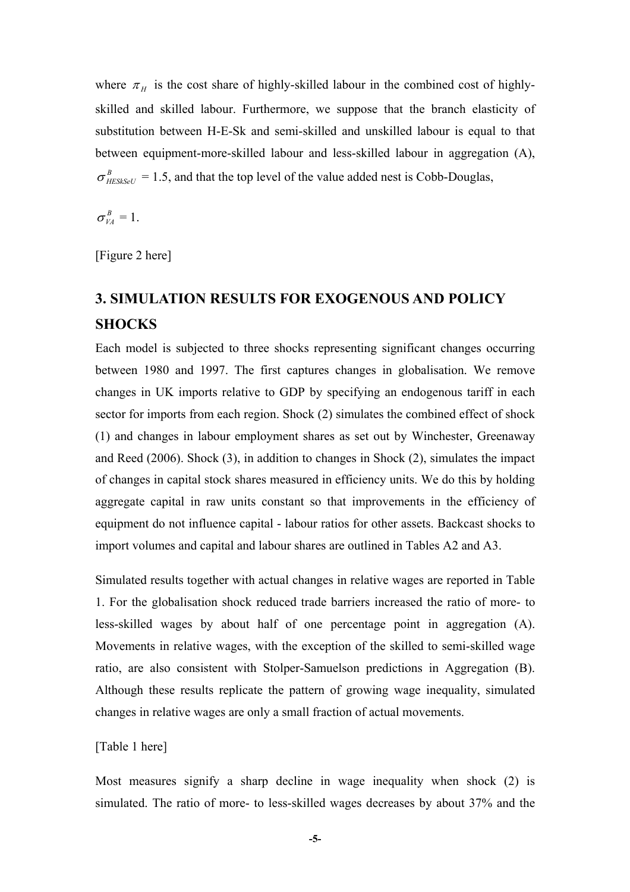where  $\pi$ <sub>H</sub> is the cost share of highly-skilled labour in the combined cost of highlyskilled and skilled labour. Furthermore, we suppose that the branch elasticity of substitution between H-E-Sk and semi-skilled and unskilled labour is equal to that between equipment-more-skilled labour and less-skilled labour in aggregation (A),  $\sigma_{HESkSet}^{B} = 1.5$ , and that the top level of the value added nest is Cobb-Douglas,

 $\sigma_{VA}^B = 1$ .

[Figure 2 here]

# **3. SIMULATION RESULTS FOR EXOGENOUS AND POLICY SHOCKS**

Each model is subjected to three shocks representing significant changes occurring between 1980 and 1997. The first captures changes in globalisation. We remove changes in UK imports relative to GDP by specifying an endogenous tariff in each sector for imports from each region. Shock (2) simulates the combined effect of shock (1) and changes in labour employment shares as set out by Winchester, Greenaway and Reed (2006). Shock (3), in addition to changes in Shock (2), simulates the impact of changes in capital stock shares measured in efficiency units. We do this by holding aggregate capital in raw units constant so that improvements in the efficiency of equipment do not influence capital - labour ratios for other assets. Backcast shocks to import volumes and capital and labour shares are outlined in Tables A2 and A3.

Simulated results together with actual changes in relative wages are reported in Table 1. For the globalisation shock reduced trade barriers increased the ratio of more- to less-skilled wages by about half of one percentage point in aggregation (A). Movements in relative wages, with the exception of the skilled to semi-skilled wage ratio, are also consistent with Stolper-Samuelson predictions in Aggregation (B). Although these results replicate the pattern of growing wage inequality, simulated changes in relative wages are only a small fraction of actual movements.

### [Table 1 here]

Most measures signify a sharp decline in wage inequality when shock (2) is simulated. The ratio of more- to less-skilled wages decreases by about 37% and the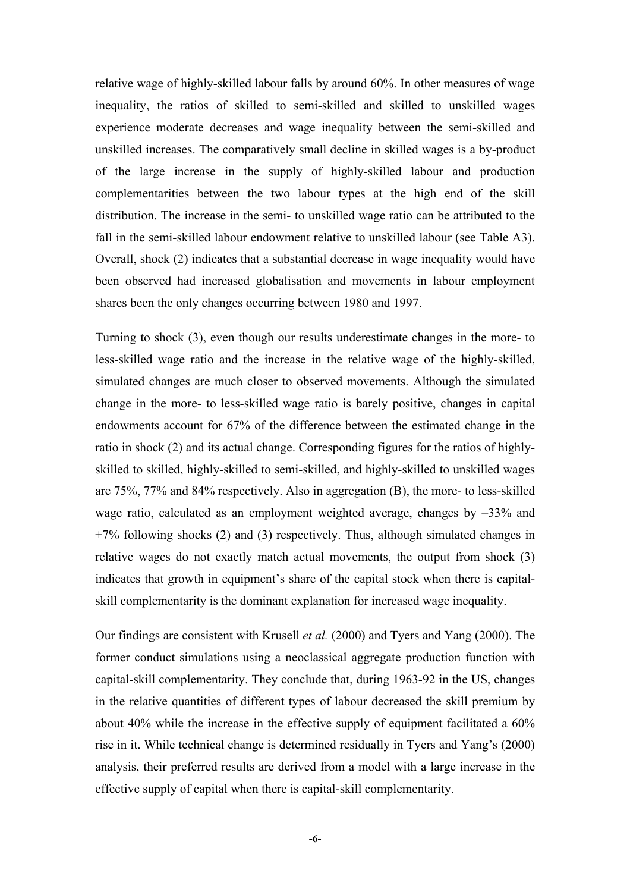relative wage of highly-skilled labour falls by around 60%. In other measures of wage inequality, the ratios of skilled to semi-skilled and skilled to unskilled wages experience moderate decreases and wage inequality between the semi-skilled and unskilled increases. The comparatively small decline in skilled wages is a by-product of the large increase in the supply of highly-skilled labour and production complementarities between the two labour types at the high end of the skill distribution. The increase in the semi- to unskilled wage ratio can be attributed to the fall in the semi-skilled labour endowment relative to unskilled labour (see Table A3). Overall, shock (2) indicates that a substantial decrease in wage inequality would have been observed had increased globalisation and movements in labour employment shares been the only changes occurring between 1980 and 1997.

Turning to shock (3), even though our results underestimate changes in the more- to less-skilled wage ratio and the increase in the relative wage of the highly-skilled, simulated changes are much closer to observed movements. Although the simulated change in the more- to less-skilled wage ratio is barely positive, changes in capital endowments account for 67% of the difference between the estimated change in the ratio in shock (2) and its actual change. Corresponding figures for the ratios of highlyskilled to skilled, highly-skilled to semi-skilled, and highly-skilled to unskilled wages are 75%, 77% and 84% respectively. Also in aggregation (B), the more- to less-skilled wage ratio, calculated as an employment weighted average, changes by –33% and +7% following shocks (2) and (3) respectively. Thus, although simulated changes in relative wages do not exactly match actual movements, the output from shock (3) indicates that growth in equipment's share of the capital stock when there is capitalskill complementarity is the dominant explanation for increased wage inequality.

Our findings are consistent with Krusell *et al.* (2000) and Tyers and Yang (2000). The former conduct simulations using a neoclassical aggregate production function with capital-skill complementarity. They conclude that, during 1963-92 in the US, changes in the relative quantities of different types of labour decreased the skill premium by about 40% while the increase in the effective supply of equipment facilitated a 60% rise in it. While technical change is determined residually in Tyers and Yang's (2000) analysis, their preferred results are derived from a model with a large increase in the effective supply of capital when there is capital-skill complementarity.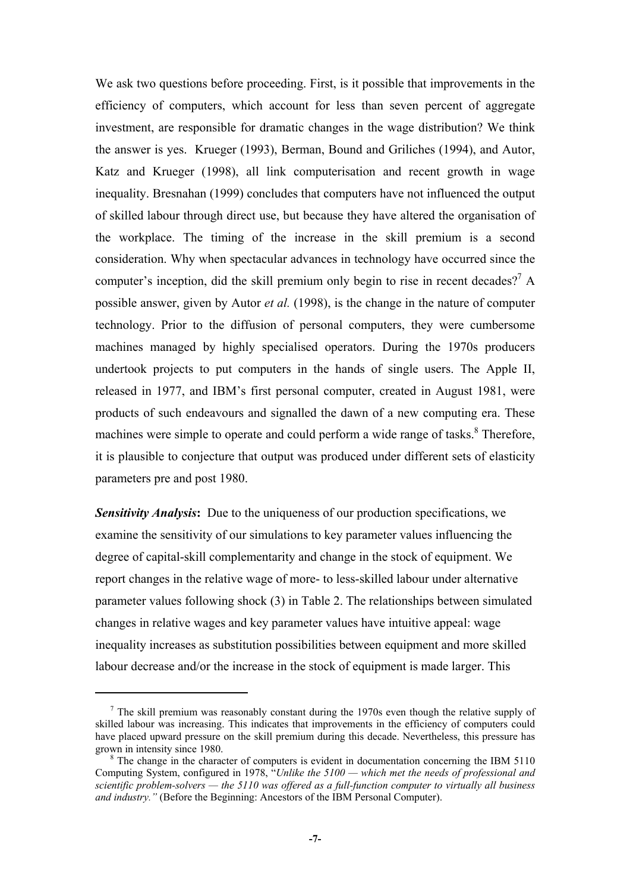We ask two questions before proceeding. First, is it possible that improvements in the efficiency of computers, which account for less than seven percent of aggregate investment, are responsible for dramatic changes in the wage distribution? We think the answer is yes. Krueger (1993), Berman, Bound and Griliches (1994), and Autor, Katz and Krueger (1998), all link computerisation and recent growth in wage inequality. Bresnahan (1999) concludes that computers have not influenced the output of skilled labour through direct use, but because they have altered the organisation of the workplace. The timing of the increase in the skill premium is a second consideration. Why when spectacular advances in technology have occurred since the computer's inception, did the skill premium only begin to rise in recent decades?<sup>7</sup> A possible answer, given by Autor *et al.* (1998), is the change in the nature of computer technology. Prior to the diffusion of personal computers, they were cumbersome machines managed by highly specialised operators. During the 1970s producers undertook projects to put computers in the hands of single users. The Apple II, released in 1977, and IBM's first personal computer, created in August 1981, were products of such endeavours and signalled the dawn of a new computing era. These machines were simple to operate and could perform a wide range of tasks.<sup>8</sup> Therefore, it is plausible to conjecture that output was produced under different sets of elasticity parameters pre and post 1980.

**Sensitivity Analysis:** Due to the uniqueness of our production specifications, we examine the sensitivity of our simulations to key parameter values influencing the degree of capital-skill complementarity and change in the stock of equipment. We report changes in the relative wage of more- to less-skilled labour under alternative parameter values following shock (3) in Table 2. The relationships between simulated changes in relative wages and key parameter values have intuitive appeal: wage inequality increases as substitution possibilities between equipment and more skilled labour decrease and/or the increase in the stock of equipment is made larger. This

 $\overline{a}$ 

 $<sup>7</sup>$  The skill premium was reasonably constant during the 1970s even though the relative supply of</sup> skilled labour was increasing. This indicates that improvements in the efficiency of computers could have placed upward pressure on the skill premium during this decade. Nevertheless, this pressure has grown in intensity since 1980.

<sup>&</sup>lt;sup>8</sup> The change in the character of computers is evident in documentation concerning the IBM 5110 Computing System, configured in 1978, "*Unlike the 5100 — which met the needs of professional and scientific problem-solvers — the 5110 was offered as a full-function computer to virtually all business and industry."* (Before the Beginning: Ancestors of the IBM Personal Computer).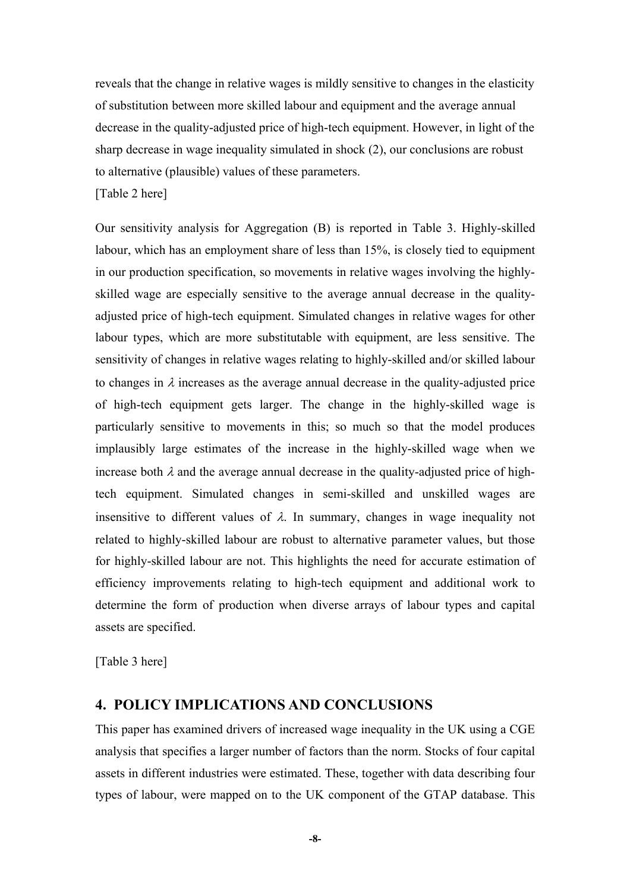reveals that the change in relative wages is mildly sensitive to changes in the elasticity of substitution between more skilled labour and equipment and the average annual decrease in the quality-adjusted price of high-tech equipment. However, in light of the sharp decrease in wage inequality simulated in shock (2), our conclusions are robust to alternative (plausible) values of these parameters.

[Table 2 here]

Our sensitivity analysis for Aggregation (B) is reported in Table 3. Highly-skilled labour, which has an employment share of less than 15%, is closely tied to equipment in our production specification, so movements in relative wages involving the highlyskilled wage are especially sensitive to the average annual decrease in the qualityadjusted price of high-tech equipment. Simulated changes in relative wages for other labour types, which are more substitutable with equipment, are less sensitive. The sensitivity of changes in relative wages relating to highly-skilled and/or skilled labour to changes in  $\lambda$  increases as the average annual decrease in the quality-adjusted price of high-tech equipment gets larger. The change in the highly-skilled wage is particularly sensitive to movements in this; so much so that the model produces implausibly large estimates of the increase in the highly-skilled wage when we increase both  $\lambda$  and the average annual decrease in the quality-adjusted price of hightech equipment. Simulated changes in semi-skilled and unskilled wages are insensitive to different values of  $\lambda$ . In summary, changes in wage inequality not related to highly-skilled labour are robust to alternative parameter values, but those for highly-skilled labour are not. This highlights the need for accurate estimation of efficiency improvements relating to high-tech equipment and additional work to determine the form of production when diverse arrays of labour types and capital assets are specified.

[Table 3 here]

### **4. POLICY IMPLICATIONS AND CONCLUSIONS**

This paper has examined drivers of increased wage inequality in the UK using a CGE analysis that specifies a larger number of factors than the norm. Stocks of four capital assets in different industries were estimated. These, together with data describing four types of labour, were mapped on to the UK component of the GTAP database. This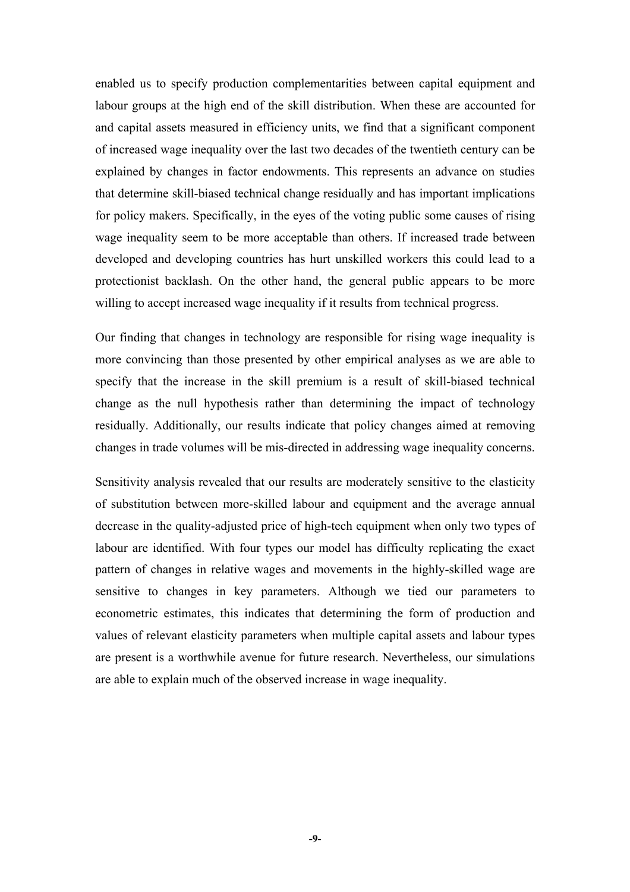enabled us to specify production complementarities between capital equipment and labour groups at the high end of the skill distribution. When these are accounted for and capital assets measured in efficiency units, we find that a significant component of increased wage inequality over the last two decades of the twentieth century can be explained by changes in factor endowments. This represents an advance on studies that determine skill-biased technical change residually and has important implications for policy makers. Specifically, in the eyes of the voting public some causes of rising wage inequality seem to be more acceptable than others. If increased trade between developed and developing countries has hurt unskilled workers this could lead to a protectionist backlash. On the other hand, the general public appears to be more willing to accept increased wage inequality if it results from technical progress.

Our finding that changes in technology are responsible for rising wage inequality is more convincing than those presented by other empirical analyses as we are able to specify that the increase in the skill premium is a result of skill-biased technical change as the null hypothesis rather than determining the impact of technology residually. Additionally, our results indicate that policy changes aimed at removing changes in trade volumes will be mis-directed in addressing wage inequality concerns.

Sensitivity analysis revealed that our results are moderately sensitive to the elasticity of substitution between more-skilled labour and equipment and the average annual decrease in the quality-adjusted price of high-tech equipment when only two types of labour are identified. With four types our model has difficulty replicating the exact pattern of changes in relative wages and movements in the highly-skilled wage are sensitive to changes in key parameters. Although we tied our parameters to econometric estimates, this indicates that determining the form of production and values of relevant elasticity parameters when multiple capital assets and labour types are present is a worthwhile avenue for future research. Nevertheless, our simulations are able to explain much of the observed increase in wage inequality.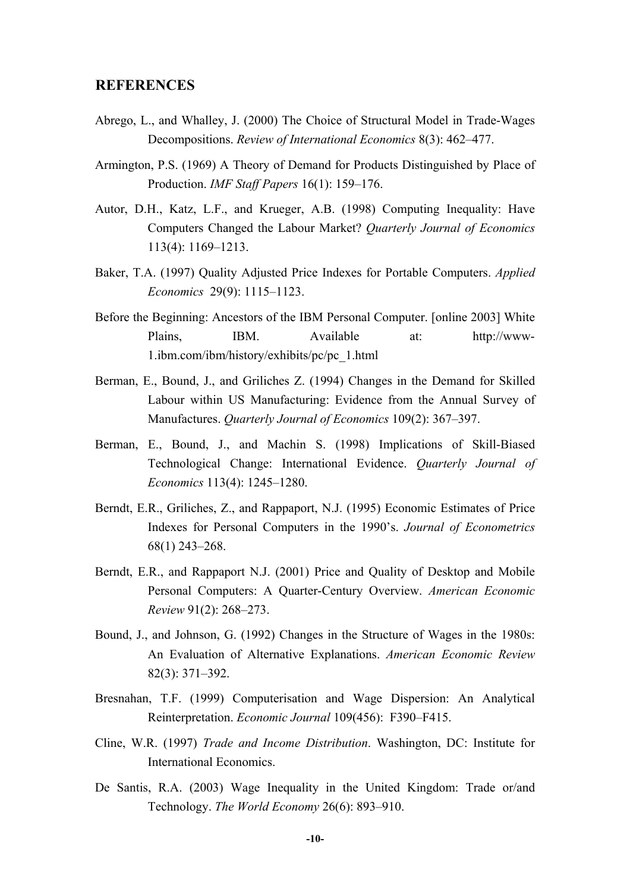### **REFERENCES**

- Abrego, L., and Whalley, J. (2000) The Choice of Structural Model in Trade-Wages Decompositions. *Review of International Economics* 8(3): 462–477.
- Armington, P.S. (1969) A Theory of Demand for Products Distinguished by Place of Production. *IMF Staff Papers* 16(1): 159–176.
- Autor, D.H., Katz, L.F., and Krueger, A.B. (1998) Computing Inequality: Have Computers Changed the Labour Market? *Quarterly Journal of Economics* 113(4): 1169–1213.
- Baker, T.A. (1997) Quality Adjusted Price Indexes for Portable Computers. *Applied Economics* 29(9): 1115–1123.
- Before the Beginning: Ancestors of the IBM Personal Computer. [online 2003] White Plains, IBM. Available at: http://www-1.ibm.com/ibm/history/exhibits/pc/pc\_1.html
- Berman, E., Bound, J., and Griliches Z. (1994) Changes in the Demand for Skilled Labour within US Manufacturing: Evidence from the Annual Survey of Manufactures. *Quarterly Journal of Economics* 109(2): 367–397.
- Berman, E., Bound, J., and Machin S. (1998) Implications of Skill-Biased Technological Change: International Evidence. *Quarterly Journal of Economics* 113(4): 1245–1280.
- Berndt, E.R., Griliches, Z., and Rappaport, N.J. (1995) Economic Estimates of Price Indexes for Personal Computers in the 1990's. *Journal of Econometrics* 68(1) 243–268.
- Berndt, E.R., and Rappaport N.J. (2001) Price and Quality of Desktop and Mobile Personal Computers: A Quarter-Century Overview. *American Economic Review* 91(2): 268–273.
- Bound, J., and Johnson, G. (1992) Changes in the Structure of Wages in the 1980s: An Evaluation of Alternative Explanations. *American Economic Review* 82(3): 371–392.
- Bresnahan, T.F. (1999) Computerisation and Wage Dispersion: An Analytical Reinterpretation. *Economic Journal* 109(456): F390–F415.
- Cline, W.R. (1997) *Trade and Income Distribution*. Washington, DC: Institute for International Economics.
- De Santis, R.A. (2003) Wage Inequality in the United Kingdom: Trade or/and Technology. *The World Economy* 26(6): 893–910.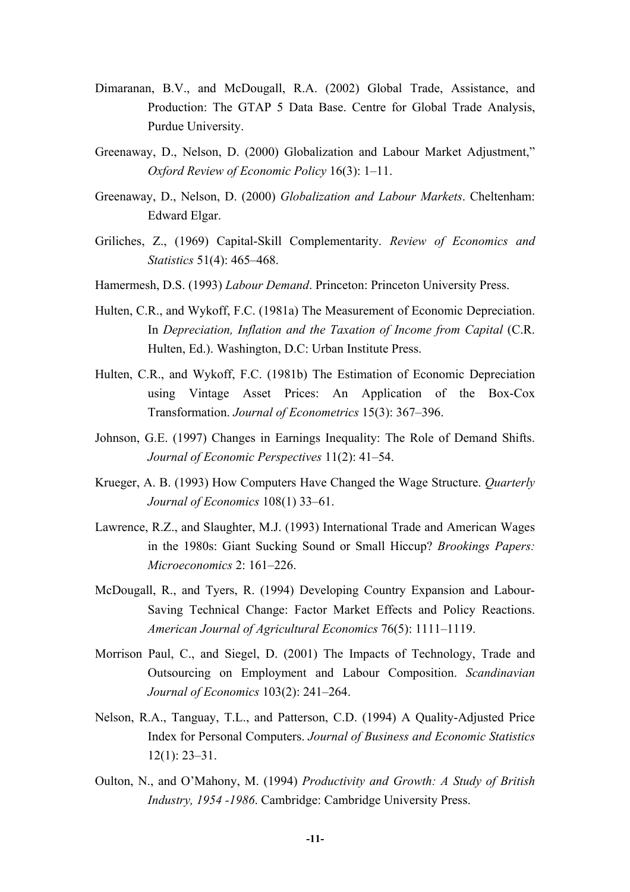- Dimaranan, B.V., and McDougall, R.A. (2002) Global Trade, Assistance, and Production: The GTAP 5 Data Base. Centre for Global Trade Analysis, Purdue University.
- Greenaway, D., Nelson, D. (2000) Globalization and Labour Market Adjustment," *Oxford Review of Economic Policy* 16(3): 1–11.
- Greenaway, D., Nelson, D. (2000) *Globalization and Labour Markets*. Cheltenham: Edward Elgar.
- Griliches, Z., (1969) Capital-Skill Complementarity. *Review of Economics and Statistics* 51(4): 465–468.
- Hamermesh, D.S. (1993) *Labour Demand*. Princeton: Princeton University Press.
- Hulten, C.R., and Wykoff, F.C. (1981a) The Measurement of Economic Depreciation. In *Depreciation, Inflation and the Taxation of Income from Capital* (C.R. Hulten, Ed.). Washington, D.C: Urban Institute Press.
- Hulten, C.R., and Wykoff, F.C. (1981b) The Estimation of Economic Depreciation using Vintage Asset Prices: An Application of the Box-Cox Transformation. *Journal of Econometrics* 15(3): 367–396.
- Johnson, G.E. (1997) Changes in Earnings Inequality: The Role of Demand Shifts. *Journal of Economic Perspectives* 11(2): 41–54.
- Krueger, A. B. (1993) How Computers Have Changed the Wage Structure. *Quarterly Journal of Economics* 108(1) 33–61.
- Lawrence, R.Z., and Slaughter, M.J. (1993) International Trade and American Wages in the 1980s: Giant Sucking Sound or Small Hiccup? *Brookings Papers: Microeconomics* 2: 161–226.
- McDougall, R., and Tyers, R. (1994) Developing Country Expansion and Labour-Saving Technical Change: Factor Market Effects and Policy Reactions. *American Journal of Agricultural Economics* 76(5): 1111–1119.
- Morrison Paul, C., and Siegel, D. (2001) The Impacts of Technology, Trade and Outsourcing on Employment and Labour Composition. *Scandinavian Journal of Economics* 103(2): 241–264.
- Nelson, R.A., Tanguay, T.L., and Patterson, C.D. (1994) A Quality-Adjusted Price Index for Personal Computers. *Journal of Business and Economic Statistics* 12(1): 23–31.
- Oulton, N., and O'Mahony, M. (1994) *Productivity and Growth: A Study of British Industry, 1954 -1986*. Cambridge: Cambridge University Press.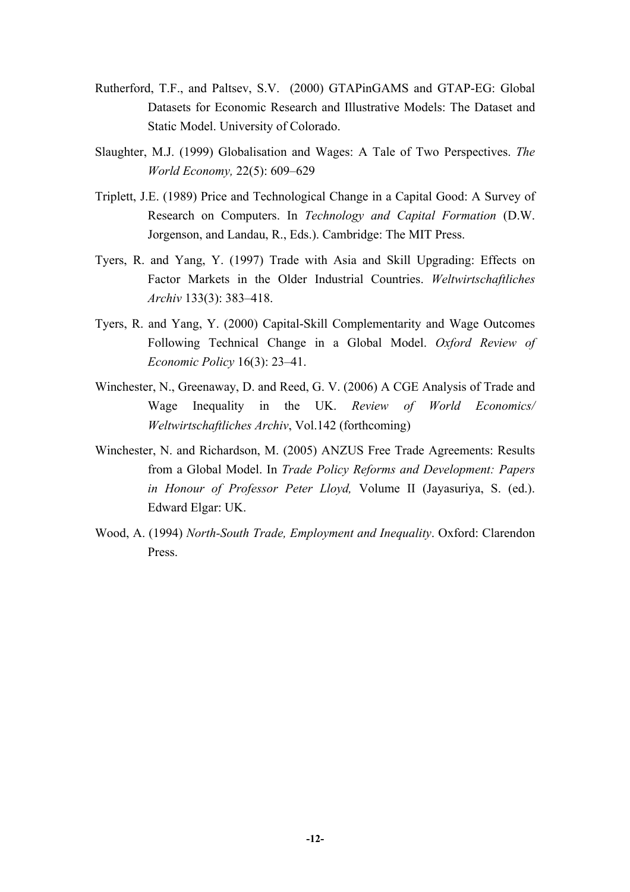- Rutherford, T.F., and Paltsev, S.V. (2000) GTAPinGAMS and GTAP-EG: Global Datasets for Economic Research and Illustrative Models: The Dataset and Static Model. University of Colorado.
- Slaughter, M.J. (1999) Globalisation and Wages: A Tale of Two Perspectives. *The World Economy,* 22(5): 609–629
- Triplett, J.E. (1989) Price and Technological Change in a Capital Good: A Survey of Research on Computers. In *Technology and Capital Formation* (D.W. Jorgenson, and Landau, R., Eds.). Cambridge: The MIT Press.
- Tyers, R. and Yang, Y. (1997) Trade with Asia and Skill Upgrading: Effects on Factor Markets in the Older Industrial Countries. *Weltwirtschaftliches Archiv* 133(3): 383–418.
- Tyers, R. and Yang, Y. (2000) Capital-Skill Complementarity and Wage Outcomes Following Technical Change in a Global Model. *Oxford Review of Economic Policy* 16(3): 23–41.
- Winchester, N., Greenaway, D. and Reed, G. V. (2006) A CGE Analysis of Trade and Wage Inequality in the UK. *Review of World Economics/ Weltwirtschaftliches Archiv*, Vol.142 (forthcoming)
- Winchester, N. and Richardson, M. (2005) ANZUS Free Trade Agreements: Results from a Global Model. In *Trade Policy Reforms and Development: Papers in Honour of Professor Peter Lloyd,* Volume II (Jayasuriya, S. (ed.). Edward Elgar: UK.
- Wood, A. (1994) *North-South Trade, Employment and Inequality*. Oxford: Clarendon Press.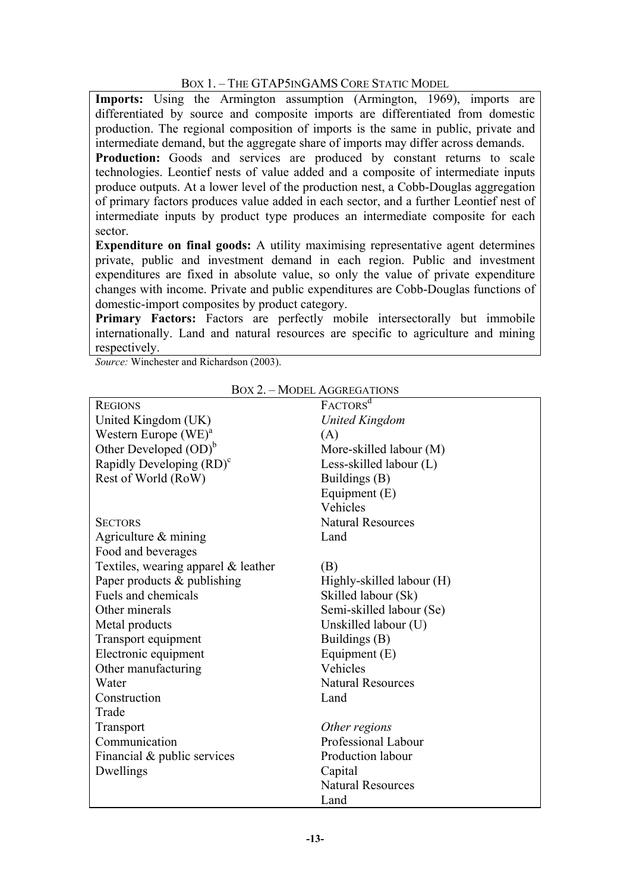### BOX 1. – THE GTAP5INGAMS CORE STATIC MODEL

Imports: Using the Armington assumption (Armington, 1969), imports are differentiated by source and composite imports are differentiated from domestic production. The regional composition of imports is the same in public, private and intermediate demand, but the aggregate share of imports may differ across demands.

**Production:** Goods and services are produced by constant returns to scale technologies. Leontief nests of value added and a composite of intermediate inputs produce outputs. At a lower level of the production nest, a Cobb-Douglas aggregation of primary factors produces value added in each sector, and a further Leontief nest of intermediate inputs by product type produces an intermediate composite for each sector.

**Expenditure on final goods:** A utility maximising representative agent determines private, public and investment demand in each region. Public and investment expenditures are fixed in absolute value, so only the value of private expenditure changes with income. Private and public expenditures are Cobb-Douglas functions of domestic-import composites by product category.

**Primary Factors:** Factors are perfectly mobile intersectorally but immobile internationally. Land and natural resources are specific to agriculture and mining respectively.

*Source:* Winchester and Richardson (2003).

| <b>REGIONS</b>                        | FACTORS <sup>d</sup>      |
|---------------------------------------|---------------------------|
| United Kingdom (UK)                   | <b>United Kingdom</b>     |
| Western Europe $(WE)^a$               | (A)                       |
| Other Developed $(OD)^b$              | More-skilled labour (M)   |
| Rapidly Developing (RD) <sup>c</sup>  | Less-skilled labour (L)   |
| Rest of World (RoW)                   | Buildings (B)             |
|                                       | Equipment $(E)$           |
|                                       | Vehicles                  |
| <b>SECTORS</b>                        | <b>Natural Resources</b>  |
| Agriculture $&$ mining                | Land                      |
| Food and beverages                    |                           |
| Textiles, wearing apparel $&$ leather | (B)                       |
| Paper products & publishing           | Highly-skilled labour (H) |
| Fuels and chemicals                   | Skilled labour (Sk)       |
| Other minerals                        | Semi-skilled labour (Se)  |
| Metal products                        | Unskilled labour (U)      |
| Transport equipment                   | Buildings (B)             |
| Electronic equipment                  | Equipment $(E)$           |
| Other manufacturing                   | Vehicles                  |
| Water                                 | <b>Natural Resources</b>  |
| Construction                          | Land                      |
| Trade                                 |                           |
| <b>Transport</b>                      | Other regions             |
| Communication                         | Professional Labour       |
| Financial & public services           | Production labour         |
| Dwellings                             | Capital                   |
|                                       | <b>Natural Resources</b>  |
|                                       | Land                      |

BOX 2. – MODEL AGGREGATIONS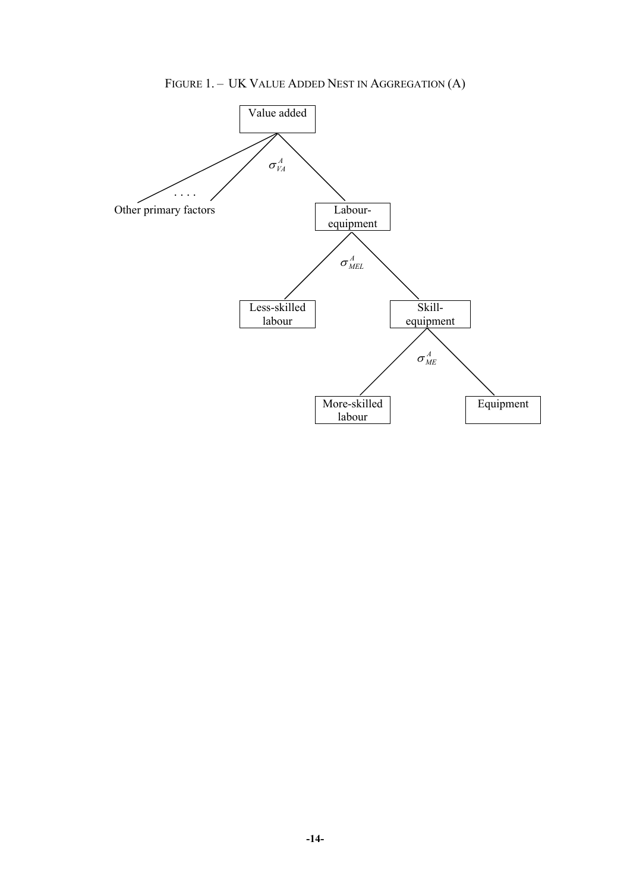FIGURE 1. – UK VALUE ADDED NEST IN AGGREGATION (A)

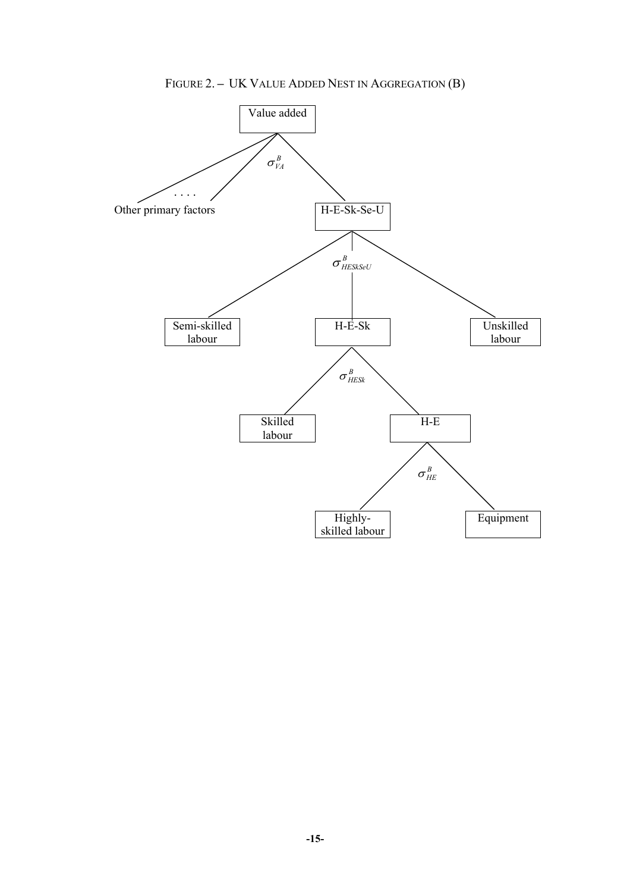FIGURE 2. **–** UK VALUE ADDED NEST IN AGGREGATION (B)

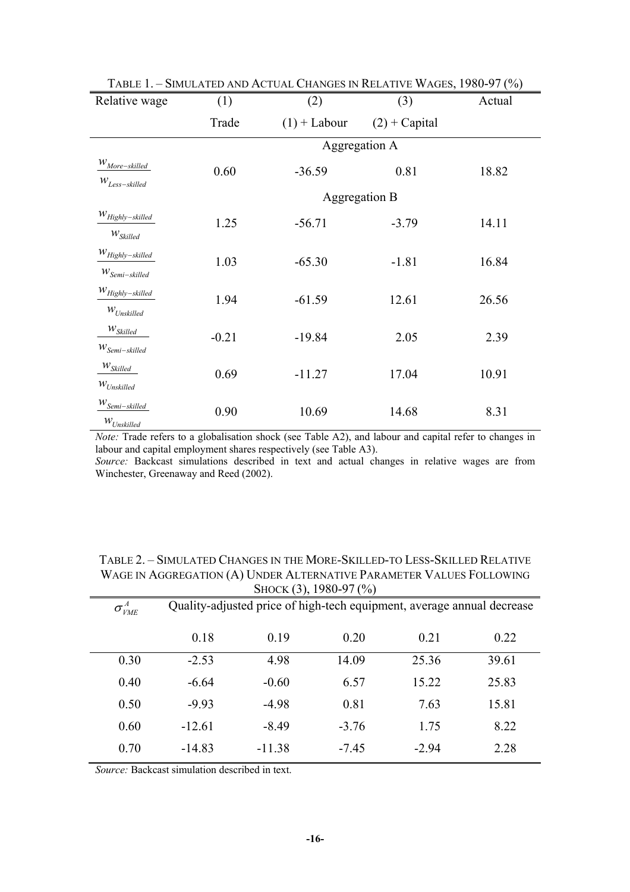|                                                        |               | <b>TABLE 1. - SIMULATED AND ACTUAL CHANGES IN RELATIVE WAGES, 1900-97 (70)</b> |                 |        |  |  |
|--------------------------------------------------------|---------------|--------------------------------------------------------------------------------|-----------------|--------|--|--|
| Relative wage                                          | (1)           | (2)                                                                            | (3)             | Actual |  |  |
|                                                        | Trade         | $(1)$ + Labour                                                                 | $(2) + Capital$ |        |  |  |
|                                                        | Aggregation A |                                                                                |                 |        |  |  |
| $W_{More-skilled}$<br>$W_{Less-skilled}$               | 0.60          | $-36.59$                                                                       | 0.81            | 18.82  |  |  |
|                                                        |               |                                                                                | Aggregation B   |        |  |  |
| $W_{Highly-skilled}$                                   | 1.25          | $-56.71$                                                                       | $-3.79$         | 14.11  |  |  |
| $W_{\text{Skilled}}$<br>$W_{Highly-skilled}$           |               |                                                                                |                 |        |  |  |
| $W_{Semi-skilled}$                                     | 1.03          | $-65.30$                                                                       | $-1.81$         | 16.84  |  |  |
| $W_{Highly-skilled}$                                   | 1.94          | $-61.59$                                                                       | 12.61           | 26.56  |  |  |
| $W_{Unskilled}$                                        |               |                                                                                |                 |        |  |  |
| $\mathcal{W}_{\textit{Skilled}}$<br>$W_{Semi-skilled}$ | $-0.21$       | $-19.84$                                                                       | 2.05            | 2.39   |  |  |
| $W_{\textit{Skilled}}$                                 |               |                                                                                |                 |        |  |  |
| $W_{Unskilled}$                                        | 0.69          | $-11.27$                                                                       | 17.04           | 10.91  |  |  |
| $W_{Semi-skilled}$<br>$W_{Unskilled}$                  | 0.90          | 10.69                                                                          | 14.68           | 8.31   |  |  |

TABLE 1. – SIMULATED AND ACTUAL CHANGES IN RELATIVE WAGES, 1980-97 (%)

*Note:* Trade refers to a globalisation shock (see Table A2), and labour and capital refer to changes in labour and capital employment shares respectively (see Table A3).

*Source:* Backcast simulations described in text and actual changes in relative wages are from Winchester, Greenaway and Reed (2002).

| TABLE 2. - SIMULATED CHANGES IN THE MORE-SKILLED-TO LESS-SKILLED RELATIVE |
|---------------------------------------------------------------------------|
| WAGE IN AGGREGATION (A) UNDER ALTERNATIVE PARAMETER VALUES FOLLOWING      |
| SHOCK $(3)$ , 1980-97 $(\%)$                                              |

| $\sigma_{\rm VME}^{\rm \scriptscriptstyle A}$ | Quality-adjusted price of high-tech equipment, average annual decrease |          |         |         |       |
|-----------------------------------------------|------------------------------------------------------------------------|----------|---------|---------|-------|
|                                               | 0.18                                                                   | 0.19     | 0.20    | 0.21    | 0.22  |
| 0.30                                          | $-2.53$                                                                | 4.98     | 14.09   | 25.36   | 39.61 |
| 0.40                                          | $-6.64$                                                                | $-0.60$  | 6.57    | 15.22   | 25.83 |
| 0.50                                          | $-9.93$                                                                | $-4.98$  | 0.81    | 7.63    | 15.81 |
| 0.60                                          | $-12.61$                                                               | $-8.49$  | $-3.76$ | 1.75    | 8.22  |
| 0.70                                          | $-14.83$                                                               | $-11.38$ | $-7.45$ | $-2.94$ | 2.28  |

*Source:* Backcast simulation described in text.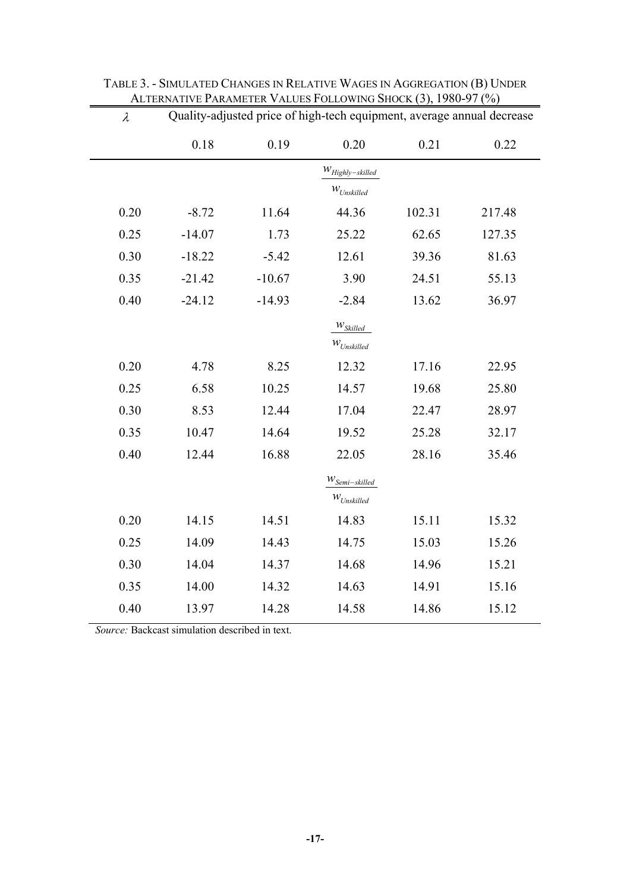| $\lambda$ | Quality-adjusted price of high-tech equipment, average annual decrease |          |                        |        |        |
|-----------|------------------------------------------------------------------------|----------|------------------------|--------|--------|
|           | 0.18                                                                   | 0.19     | 0.20                   | 0.21   | 0.22   |
|           |                                                                        |          | $W_{Highly-skilled}$   |        |        |
|           |                                                                        |          | $W_{Unskilled}$        |        |        |
| 0.20      | $-8.72$                                                                | 11.64    | 44.36                  | 102.31 | 217.48 |
| 0.25      | $-14.07$                                                               | 1.73     | 25.22                  | 62.65  | 127.35 |
| 0.30      | $-18.22$                                                               | $-5.42$  | 12.61                  | 39.36  | 81.63  |
| 0.35      | $-21.42$                                                               | $-10.67$ | 3.90                   | 24.51  | 55.13  |
| 0.40      | $-24.12$                                                               | $-14.93$ | $-2.84$                | 13.62  | 36.97  |
|           |                                                                        |          | $W_{\textit{Skilled}}$ |        |        |
|           |                                                                        |          | $W_{Unskilled}$        |        |        |
| 0.20      | 4.78                                                                   | 8.25     | 12.32                  | 17.16  | 22.95  |
| 0.25      | 6.58                                                                   | 10.25    | 14.57                  | 19.68  | 25.80  |
| 0.30      | 8.53                                                                   | 12.44    | 17.04                  | 22.47  | 28.97  |
| 0.35      | 10.47                                                                  | 14.64    | 19.52                  | 25.28  | 32.17  |
| 0.40      | 12.44                                                                  | 16.88    | 22.05                  | 28.16  | 35.46  |
|           |                                                                        |          | $W_{Semi-skilled}$     |        |        |
|           |                                                                        |          | $W_{Unskilled}$        |        |        |
| 0.20      | 14.15                                                                  | 14.51    | 14.83                  | 15.11  | 15.32  |
| 0.25      | 14.09                                                                  | 14.43    | 14.75                  | 15.03  | 15.26  |
| 0.30      | 14.04                                                                  | 14.37    | 14.68                  | 14.96  | 15.21  |
| 0.35      | 14.00                                                                  | 14.32    | 14.63                  | 14.91  | 15.16  |
| 0.40      | 13.97                                                                  | 14.28    | 14.58                  | 14.86  | 15.12  |

TABLE 3. - SIMULATED CHANGES IN RELATIVE WAGES IN AGGREGATION (B) UNDER ALTERNATIVE PARAMETER VALUES FOLLOWING SHOCK (3), 1980-97 (%)

*Source:* Backcast simulation described in text.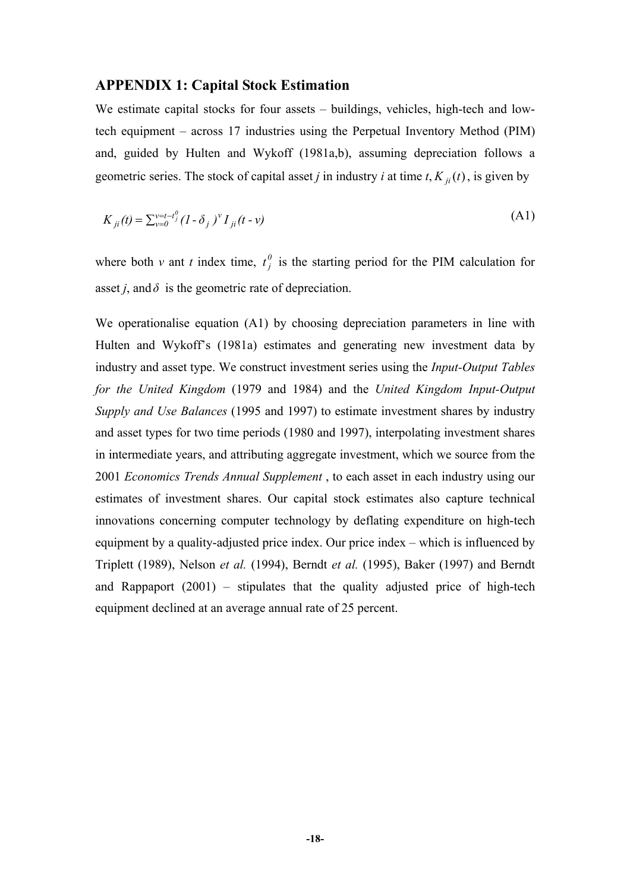### **APPENDIX 1: Capital Stock Estimation**

We estimate capital stocks for four assets – buildings, vehicles, high-tech and lowtech equipment – across 17 industries using the Perpetual Inventory Method (PIM) and, guided by Hulten and Wykoff (1981a,b), assuming depreciation follows a geometric series. The stock of capital asset *j* in industry *i* at time  $t$ ,  $K_{ii}(t)$ , is given by

$$
K_{ji}(t) = \sum_{\nu=0}^{\nu=t-t_j^0} (1 - \delta_j)^{\nu} I_{ji}(t - \nu)
$$
\n(A1)

where both *v* ant *t* index time,  $t_j^0$  is the starting period for the PIM calculation for asset *j*, and  $\delta$  is the geometric rate of depreciation.

We operationalise equation (A1) by choosing depreciation parameters in line with Hulten and Wykoff's (1981a) estimates and generating new investment data by industry and asset type. We construct investment series using the *Input-Output Tables for the United Kingdom* (1979 and 1984) and the *United Kingdom Input-Output Supply and Use Balances* (1995 and 1997) to estimate investment shares by industry and asset types for two time periods (1980 and 1997), interpolating investment shares in intermediate years, and attributing aggregate investment, which we source from the 2001 *Economics Trends Annual Supplement* , to each asset in each industry using our estimates of investment shares. Our capital stock estimates also capture technical innovations concerning computer technology by deflating expenditure on high-tech equipment by a quality-adjusted price index. Our price index – which is influenced by Triplett (1989), Nelson *et al.* (1994), Berndt *et al.* (1995), Baker (1997) and Berndt and Rappaport (2001) – stipulates that the quality adjusted price of high-tech equipment declined at an average annual rate of 25 percent.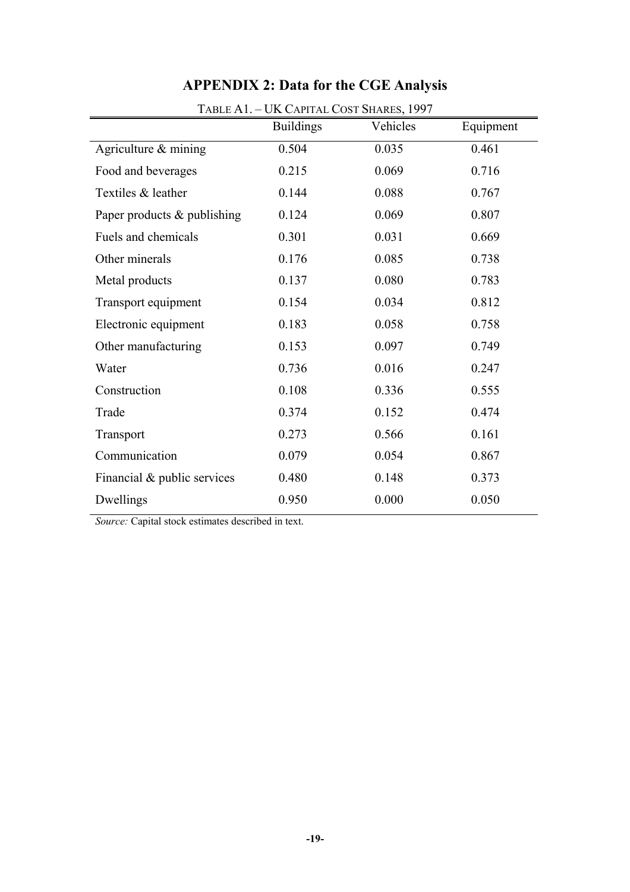|                                | TABLE A1. - UK CAPITAL COST SHARES, 1997<br><b>Buildings</b> | Vehicles | Equipment |
|--------------------------------|--------------------------------------------------------------|----------|-----------|
| Agriculture & mining           | 0.504                                                        | 0.035    | 0.461     |
| Food and beverages             | 0.215                                                        | 0.069    | 0.716     |
| Textiles & leather             | 0.144                                                        | 0.088    | 0.767     |
| Paper products & publishing    | 0.124                                                        | 0.069    | 0.807     |
| Fuels and chemicals            | 0.301                                                        | 0.031    | 0.669     |
| Other minerals                 | 0.176                                                        | 0.085    | 0.738     |
| Metal products                 | 0.137                                                        | 0.080    | 0.783     |
| Transport equipment            | 0.154                                                        | 0.034    | 0.812     |
| Electronic equipment           | 0.183                                                        | 0.058    | 0.758     |
| Other manufacturing            | 0.153                                                        | 0.097    | 0.749     |
| Water                          | 0.736                                                        | 0.016    | 0.247     |
| Construction                   | 0.108                                                        | 0.336    | 0.555     |
| Trade                          | 0.374                                                        | 0.152    | 0.474     |
| Transport                      | 0.273                                                        | 0.566    | 0.161     |
| Communication                  | 0.079                                                        | 0.054    | 0.867     |
| Financial $\&$ public services | 0.480                                                        | 0.148    | 0.373     |
| Dwellings                      | 0.950                                                        | 0.000    | 0.050     |

# **APPENDIX 2: Data for the CGE Analysis**

*Source:* Capital stock estimates described in text.